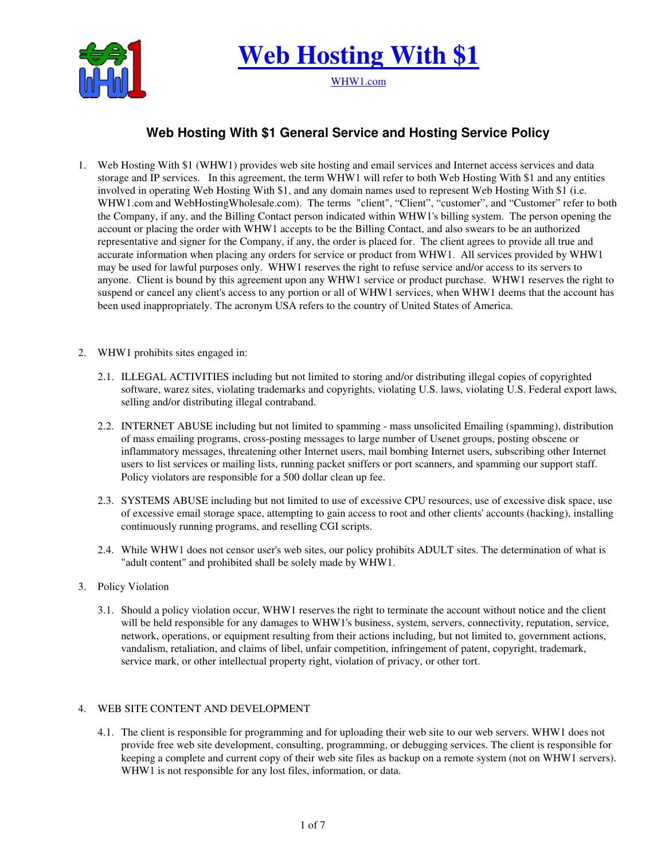

**Web Hosting With \$1**

WHW1.com

# **Web Hosting With \$1 General Service and Hosting Service Policy**

- 1. Web Hosting With \$1 (WHW1) provides web site hosting and email services and Internet access services and data storage and IP services. In this agreement, the term WHW1 will refer to both Web Hosting With \$1 and any entities involved in operating Web Hosting With \$1, and any domain names used to represent Web Hosting With \$1 (i.e. WHW1.com and WebHostingWholesale.com). The terms "client", "Client", "customer", and "Customer" refer to both the Company, if any, and the Billing Contact person indicated within WHW1's billing system. The person opening the account or placing the order with WHW1 accepts to be the Billing Contact, and also swears to be an authorized representative and signer for the Company, if any, the order is placed for. The client agrees to provide all true and accurate information when placing any orders for service or product from WHW1. All services provided by WHW1 may be used for lawful purposes only. WHW1 reserves the right to refuse service and/or access to its servers to anyone. Client is bound by this agreement upon any WHW1 service or product purchase. WHW1 reserves the right to suspend or cancel any client's access to any portion or all of WHW1 services, when WHW1 deems that the account has been used inappropriately. The acronym USA refers to the country of United States of America.
- 2. WHW1 prohibits sites engaged in:
	- 2.1. ILLEGAL ACTIVITIES including but not limited to storing and/or distributing illegal copies of copyrighted software, warez sites, violating trademarks and copyrights, violating U.S. laws, violating U.S. Federal export laws, selling and/or distributing illegal contraband.
	- 2.2. INTERNET ABUSE including but not limited to spamming mass unsolicited Emailing (spamming), distribution of mass emailing programs, cross-posting messages to large number of Usenet groups, posting obscene or inflammatory messages, threatening other Internet users, mail bombing Internet users, subscribing other Internet users to list services or mailing lists, running packet sniffers or port scanners, and spamming our support staff. Policy violators are responsible for a 500 dollar clean up fee.
	- 2.3. SYSTEMS ABUSE including but not limited to use of excessive CPU resources, use of excessive disk space, use of excessive email storage space, attempting to gain access to root and other clients' accounts (hacking), installing continuously running programs, and reselling CGI scripts.
	- 2.4. While WHW1 does not censor user's web sites, our policy prohibits ADULT sites. The determination of what is "adult content" and prohibited shall be solely made by WHW1.
- 3. Policy Violation
	- 3.1. Should a policy violation occur, WHW1 reserves the right to terminate the account without notice and the client will be held responsible for any damages to WHW1's business, system, servers, connectivity, reputation, service, network, operations, or equipment resulting from their actions including, but not limited to, government actions, vandalism, retaliation, and claims of libel, unfair competition, infringement of patent, copyright, trademark, service mark, or other intellectual property right, violation of privacy, or other tort.

# 4. WEB SITE CONTENT AND DEVELOPMENT

4.1. The client is responsible for programming and for uploading their web site to our web servers. WHW1 does not provide free web site development, consulting, programming, or debugging services. The client is responsible for keeping a complete and current copy of their web site files as backup on a remote system (not on WHW1 servers). WHW1 is not responsible for any lost files, information, or data.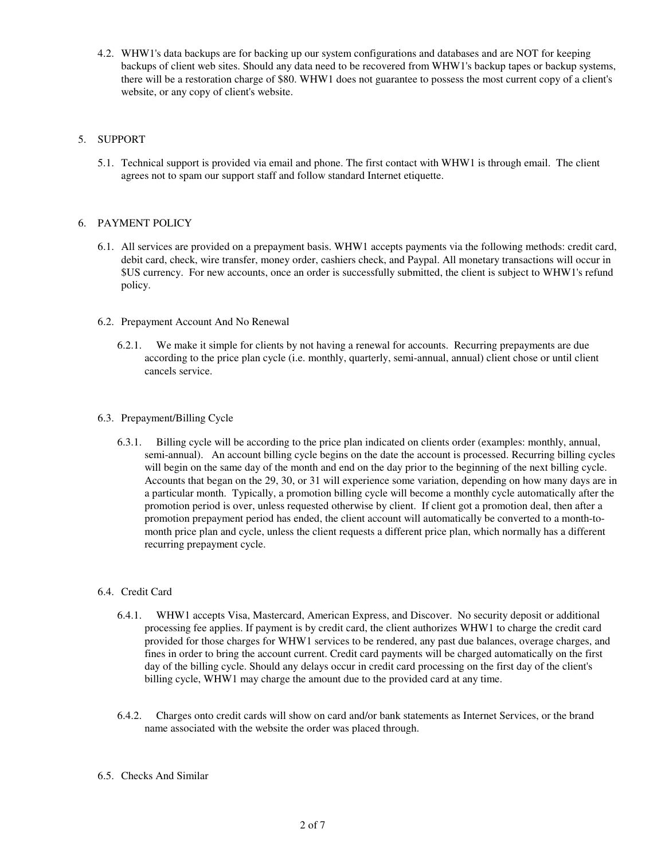4.2. WHW1's data backups are for backing up our system configurations and databases and are NOT for keeping backups of client web sites. Should any data need to be recovered from WHW1's backup tapes or backup systems, there will be a restoration charge of \$80. WHW1 does not guarantee to possess the most current copy of a client's website, or any copy of client's website.

# 5. SUPPORT

5.1. Technical support is provided via email and phone. The first contact with WHW1 is through email. The client agrees not to spam our support staff and follow standard Internet etiquette.

## 6. PAYMENT POLICY

- 6.1. All services are provided on a prepayment basis. WHW1 accepts payments via the following methods: credit card, debit card, check, wire transfer, money order, cashiers check, and Paypal. All monetary transactions will occur in \$US currency. For new accounts, once an order is successfully submitted, the client is subject to WHW1's refund policy.
- 6.2. Prepayment Account And No Renewal
	- 6.2.1. We make it simple for clients by not having a renewal for accounts. Recurring prepayments are due according to the price plan cycle (i.e. monthly, quarterly, semi-annual, annual) client chose or until client cancels service.
- 6.3. Prepayment/Billing Cycle
	- 6.3.1. Billing cycle will be according to the price plan indicated on clients order (examples: monthly, annual, semi-annual). An account billing cycle begins on the date the account is processed. Recurring billing cycles will begin on the same day of the month and end on the day prior to the beginning of the next billing cycle. Accounts that began on the 29, 30, or 31 will experience some variation, depending on how many days are in a particular month. Typically, a promotion billing cycle will become a monthly cycle automatically after the promotion period is over, unless requested otherwise by client. If client got a promotion deal, then after a promotion prepayment period has ended, the client account will automatically be converted to a month-tomonth price plan and cycle, unless the client requests a different price plan, which normally has a different recurring prepayment cycle.
- 6.4. Credit Card
	- 6.4.1. WHW1 accepts Visa, Mastercard, American Express, and Discover. No security deposit or additional processing fee applies. If payment is by credit card, the client authorizes WHW1 to charge the credit card provided for those charges for WHW1 services to be rendered, any past due balances, overage charges, and fines in order to bring the account current. Credit card payments will be charged automatically on the first day of the billing cycle. Should any delays occur in credit card processing on the first day of the client's billing cycle, WHW1 may charge the amount due to the provided card at any time.
	- 6.4.2. Charges onto credit cards will show on card and/or bank statements as Internet Services, or the brand name associated with the website the order was placed through.
- 6.5. Checks And Similar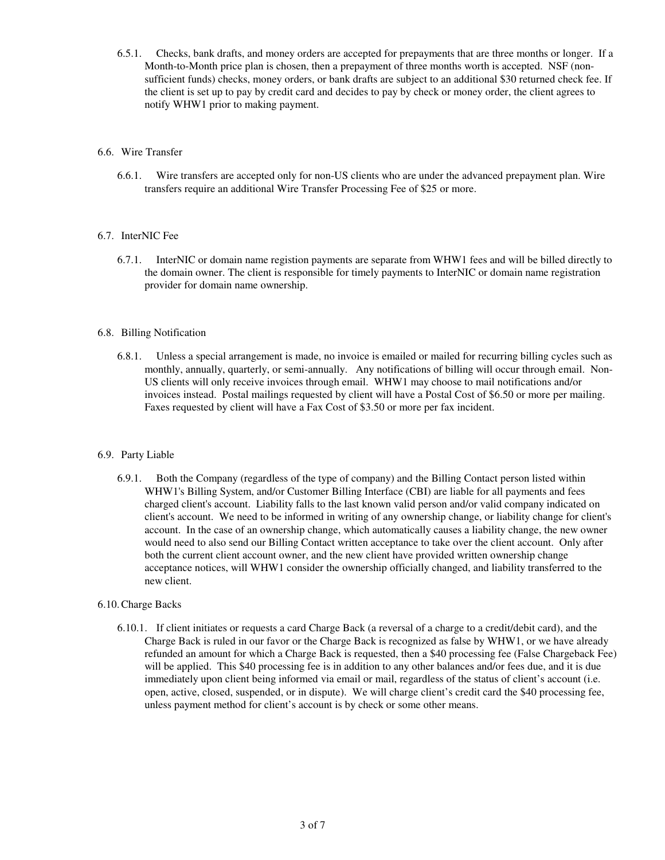6.5.1. Checks, bank drafts, and money orders are accepted for prepayments that are three months or longer. If a Month-to-Month price plan is chosen, then a prepayment of three months worth is accepted. NSF (nonsufficient funds) checks, money orders, or bank drafts are subject to an additional \$30 returned check fee. If the client is set up to pay by credit card and decides to pay by check or money order, the client agrees to notify WHW1 prior to making payment.

## 6.6. Wire Transfer

6.6.1. Wire transfers are accepted only for non-US clients who are under the advanced prepayment plan. Wire transfers require an additional Wire Transfer Processing Fee of \$25 or more.

## 6.7. InterNIC Fee

6.7.1. InterNIC or domain name registion payments are separate from WHW1 fees and will be billed directly to the domain owner. The client is responsible for timely payments to InterNIC or domain name registration provider for domain name ownership.

#### 6.8. Billing Notification

6.8.1. Unless a special arrangement is made, no invoice is emailed or mailed for recurring billing cycles such as monthly, annually, quarterly, or semi-annually. Any notifications of billing will occur through email. Non-US clients will only receive invoices through email. WHW1 may choose to mail notifications and/or invoices instead. Postal mailings requested by client will have a Postal Cost of \$6.50 or more per mailing. Faxes requested by client will have a Fax Cost of \$3.50 or more per fax incident.

#### 6.9. Party Liable

6.9.1. Both the Company (regardless of the type of company) and the Billing Contact person listed within WHW1's Billing System, and/or Customer Billing Interface (CBI) are liable for all payments and fees charged client's account. Liability falls to the last known valid person and/or valid company indicated on client's account. We need to be informed in writing of any ownership change, or liability change for client's account. In the case of an ownership change, which automatically causes a liability change, the new owner would need to also send our Billing Contact written acceptance to take over the client account. Only after both the current client account owner, and the new client have provided written ownership change acceptance notices, will WHW1 consider the ownership officially changed, and liability transferred to the new client.

#### 6.10. Charge Backs

6.10.1. If client initiates or requests a card Charge Back (a reversal of a charge to a credit/debit card), and the Charge Back is ruled in our favor or the Charge Back is recognized as false by WHW1, or we have already refunded an amount for which a Charge Back is requested, then a \$40 processing fee (False Chargeback Fee) will be applied. This \$40 processing fee is in addition to any other balances and/or fees due, and it is due immediately upon client being informed via email or mail, regardless of the status of client's account (i.e. open, active, closed, suspended, or in dispute). We will charge client's credit card the \$40 processing fee, unless payment method for client's account is by check or some other means.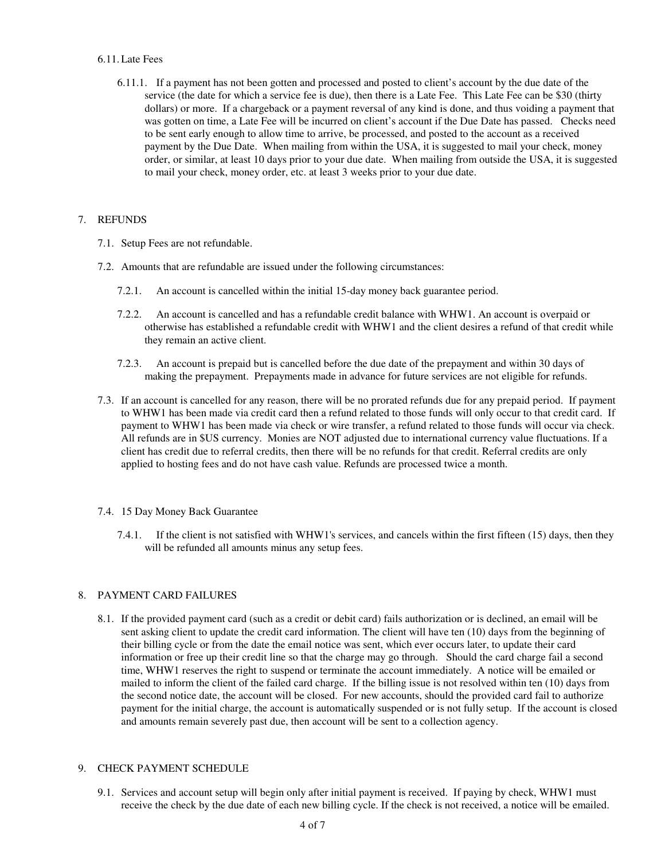## 6.11. Late Fees

6.11.1. If a payment has not been gotten and processed and posted to client's account by the due date of the service (the date for which a service fee is due), then there is a Late Fee. This Late Fee can be \$30 (thirty dollars) or more. If a chargeback or a payment reversal of any kind is done, and thus voiding a payment that was gotten on time, a Late Fee will be incurred on client's account if the Due Date has passed. Checks need to be sent early enough to allow time to arrive, be processed, and posted to the account as a received payment by the Due Date. When mailing from within the USA, it is suggested to mail your check, money order, or similar, at least 10 days prior to your due date. When mailing from outside the USA, it is suggested to mail your check, money order, etc. at least 3 weeks prior to your due date.

# 7. REFUNDS

- 7.1. Setup Fees are not refundable.
- 7.2. Amounts that are refundable are issued under the following circumstances:
	- 7.2.1. An account is cancelled within the initial 15-day money back guarantee period.
	- 7.2.2. An account is cancelled and has a refundable credit balance with WHW1. An account is overpaid or otherwise has established a refundable credit with WHW1 and the client desires a refund of that credit while they remain an active client.
	- 7.2.3. An account is prepaid but is cancelled before the due date of the prepayment and within 30 days of making the prepayment. Prepayments made in advance for future services are not eligible for refunds.
- 7.3. If an account is cancelled for any reason, there will be no prorated refunds due for any prepaid period. If payment to WHW1 has been made via credit card then a refund related to those funds will only occur to that credit card. If payment to WHW1 has been made via check or wire transfer, a refund related to those funds will occur via check. All refunds are in \$US currency. Monies are NOT adjusted due to international currency value fluctuations. If a client has credit due to referral credits, then there will be no refunds for that credit. Referral credits are only applied to hosting fees and do not have cash value. Refunds are processed twice a month.

# 7.4. 15 Day Money Back Guarantee

7.4.1. If the client is not satisfied with WHW1's services, and cancels within the first fifteen (15) days, then they will be refunded all amounts minus any setup fees.

# 8. PAYMENT CARD FAILURES

8.1. If the provided payment card (such as a credit or debit card) fails authorization or is declined, an email will be sent asking client to update the credit card information. The client will have ten (10) days from the beginning of their billing cycle or from the date the email notice was sent, which ever occurs later, to update their card information or free up their credit line so that the charge may go through. Should the card charge fail a second time, WHW1 reserves the right to suspend or terminate the account immediately. A notice will be emailed or mailed to inform the client of the failed card charge. If the billing issue is not resolved within ten (10) days from the second notice date, the account will be closed. For new accounts, should the provided card fail to authorize payment for the initial charge, the account is automatically suspended or is not fully setup. If the account is closed and amounts remain severely past due, then account will be sent to a collection agency.

#### 9. CHECK PAYMENT SCHEDULE

9.1. Services and account setup will begin only after initial payment is received. If paying by check, WHW1 must receive the check by the due date of each new billing cycle. If the check is not received, a notice will be emailed.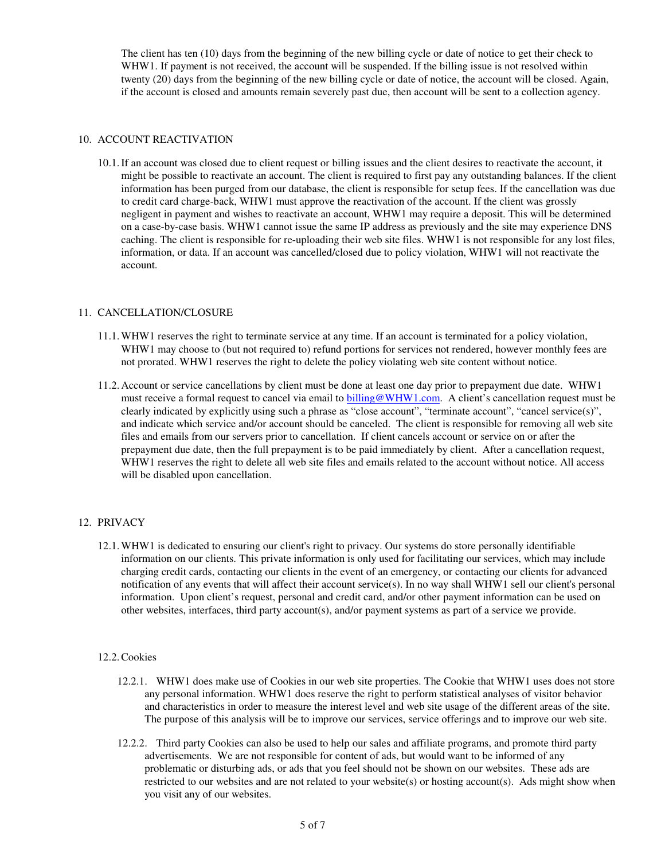The client has ten (10) days from the beginning of the new billing cycle or date of notice to get their check to WHW1. If payment is not received, the account will be suspended. If the billing issue is not resolved within twenty (20) days from the beginning of the new billing cycle or date of notice, the account will be closed. Again, if the account is closed and amounts remain severely past due, then account will be sent to a collection agency.

## 10. ACCOUNT REACTIVATION

10.1. If an account was closed due to client request or billing issues and the client desires to reactivate the account, it might be possible to reactivate an account. The client is required to first pay any outstanding balances. If the client information has been purged from our database, the client is responsible for setup fees. If the cancellation was due to credit card charge-back, WHW1 must approve the reactivation of the account. If the client was grossly negligent in payment and wishes to reactivate an account, WHW1 may require a deposit. This will be determined on a case-by-case basis. WHW1 cannot issue the same IP address as previously and the site may experience DNS caching. The client is responsible for re-uploading their web site files. WHW1 is not responsible for any lost files, information, or data. If an account was cancelled/closed due to policy violation, WHW1 will not reactivate the account.

## 11. CANCELLATION/CLOSURE

- 11.1. WHW1 reserves the right to terminate service at any time. If an account is terminated for a policy violation, WHW1 may choose to (but not required to) refund portions for services not rendered, however monthly fees are not prorated. WHW1 reserves the right to delete the policy violating web site content without notice.
- 11.2. Account or service cancellations by client must be done at least one day prior to prepayment due date. WHW1 must receive a formal request to cancel via email to billing@WHW1.com. A client's cancellation request must be clearly indicated by explicitly using such a phrase as "close account", "terminate account", "cancel service(s)", and indicate which service and/or account should be canceled. The client is responsible for removing all web site files and emails from our servers prior to cancellation. If client cancels account or service on or after the prepayment due date, then the full prepayment is to be paid immediately by client. After a cancellation request, WHW1 reserves the right to delete all web site files and emails related to the account without notice. All access will be disabled upon cancellation.

# 12. PRIVACY

12.1. WHW1 is dedicated to ensuring our client's right to privacy. Our systems do store personally identifiable information on our clients. This private information is only used for facilitating our services, which may include charging credit cards, contacting our clients in the event of an emergency, or contacting our clients for advanced notification of any events that will affect their account service(s). In no way shall WHW1 sell our client's personal information. Upon client's request, personal and credit card, and/or other payment information can be used on other websites, interfaces, third party account(s), and/or payment systems as part of a service we provide.

## 12.2. Cookies

- 12.2.1. WHW1 does make use of Cookies in our web site properties. The Cookie that WHW1 uses does not store any personal information. WHW1 does reserve the right to perform statistical analyses of visitor behavior and characteristics in order to measure the interest level and web site usage of the different areas of the site. The purpose of this analysis will be to improve our services, service offerings and to improve our web site.
- 12.2.2. Third party Cookies can also be used to help our sales and affiliate programs, and promote third party advertisements. We are not responsible for content of ads, but would want to be informed of any problematic or disturbing ads, or ads that you feel should not be shown on our websites. These ads are restricted to our websites and are not related to your website(s) or hosting account(s). Ads might show when you visit any of our websites.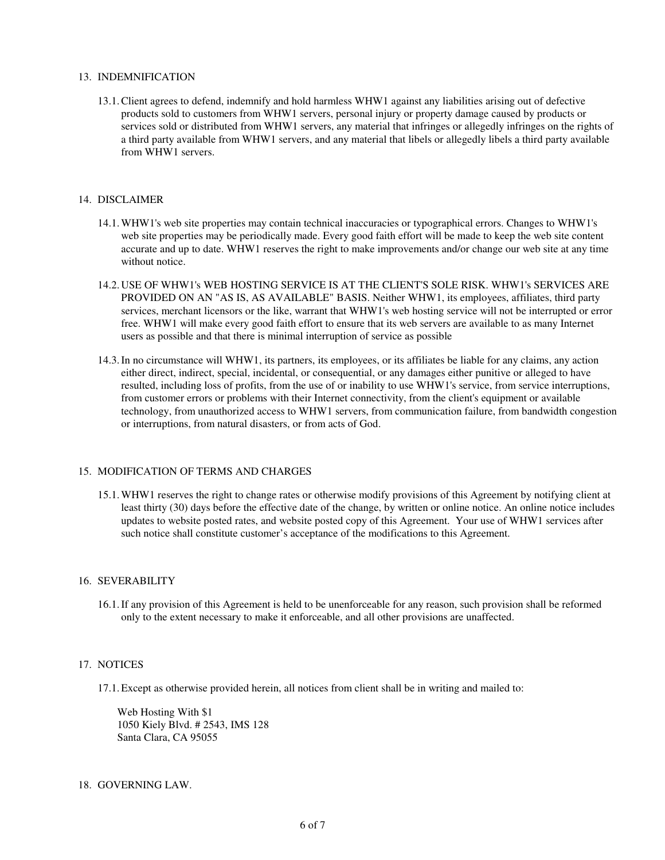#### 13. INDEMNIFICATION

13.1. Client agrees to defend, indemnify and hold harmless WHW1 against any liabilities arising out of defective products sold to customers from WHW1 servers, personal injury or property damage caused by products or services sold or distributed from WHW1 servers, any material that infringes or allegedly infringes on the rights of a third party available from WHW1 servers, and any material that libels or allegedly libels a third party available from WHW1 servers.

#### 14. DISCLAIMER

- 14.1. WHW1's web site properties may contain technical inaccuracies or typographical errors. Changes to WHW1's web site properties may be periodically made. Every good faith effort will be made to keep the web site content accurate and up to date. WHW1 reserves the right to make improvements and/or change our web site at any time without notice.
- 14.2. USE OF WHW1's WEB HOSTING SERVICE IS AT THE CLIENT'S SOLE RISK. WHW1's SERVICES ARE PROVIDED ON AN "AS IS, AS AVAILABLE" BASIS. Neither WHW1, its employees, affiliates, third party services, merchant licensors or the like, warrant that WHW1's web hosting service will not be interrupted or error free. WHW1 will make every good faith effort to ensure that its web servers are available to as many Internet users as possible and that there is minimal interruption of service as possible
- 14.3. In no circumstance will WHW1, its partners, its employees, or its affiliates be liable for any claims, any action either direct, indirect, special, incidental, or consequential, or any damages either punitive or alleged to have resulted, including loss of profits, from the use of or inability to use WHW1's service, from service interruptions, from customer errors or problems with their Internet connectivity, from the client's equipment or available technology, from unauthorized access to WHW1 servers, from communication failure, from bandwidth congestion or interruptions, from natural disasters, or from acts of God.

#### 15. MODIFICATION OF TERMS AND CHARGES

15.1. WHW1 reserves the right to change rates or otherwise modify provisions of this Agreement by notifying client at least thirty (30) days before the effective date of the change, by written or online notice. An online notice includes updates to website posted rates, and website posted copy of this Agreement. Your use of WHW1 services after such notice shall constitute customer's acceptance of the modifications to this Agreement.

#### 16. SEVERABILITY

16.1. If any provision of this Agreement is held to be unenforceable for any reason, such provision shall be reformed only to the extent necessary to make it enforceable, and all other provisions are unaffected.

#### 17. NOTICES

17.1. Except as otherwise provided herein, all notices from client shall be in writing and mailed to:

Web Hosting With \$1 1050 Kiely Blvd. # 2543, IMS 128 Santa Clara, CA 95055

#### 18. GOVERNING LAW.